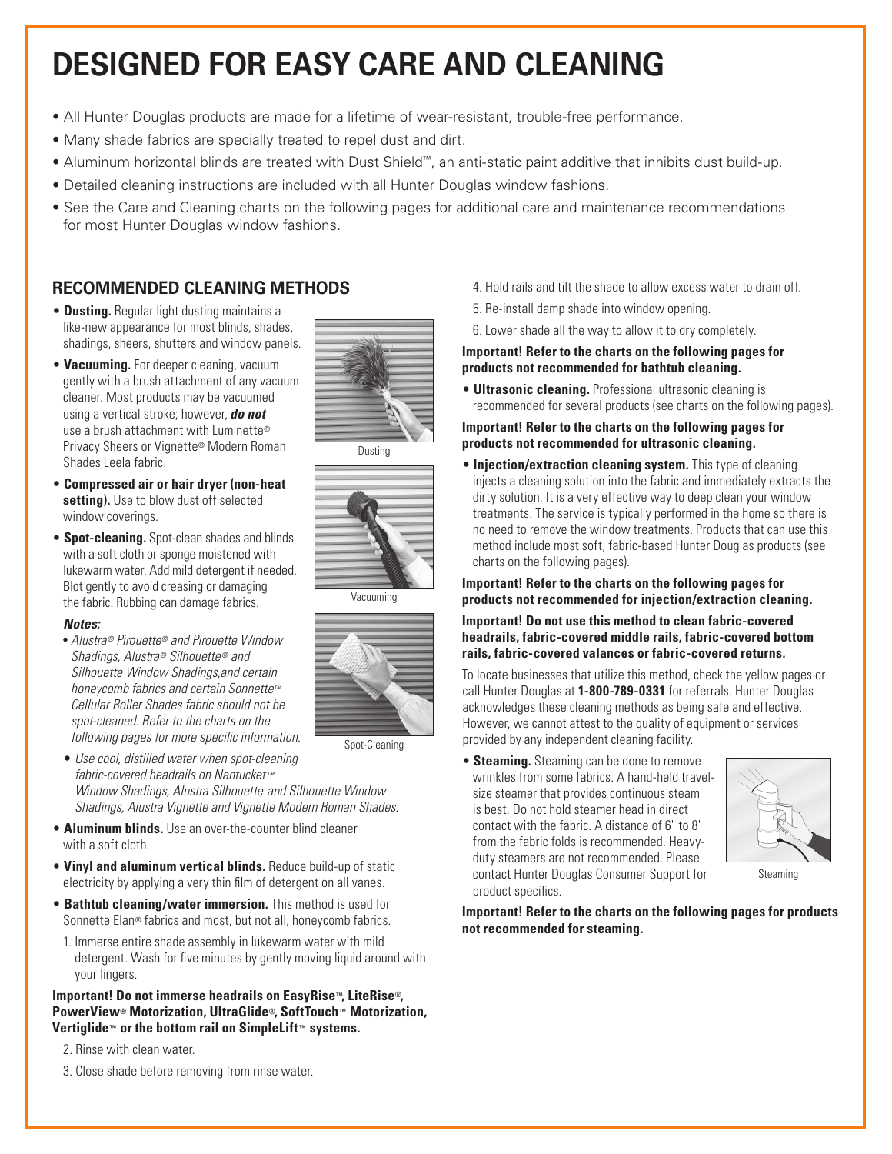# **DESIGNED FOR EASY CARE AND CLEANING**

- All Hunter Douglas products are made for a lifetime of wear-resistant, trouble-free performance.
- Many shade fabrics are specially treated to repel dust and dirt.
- Aluminum horizontal blinds are treated with Dust Shield™, an anti-static paint additive that inhibits dust build-up.
- Detailed cleaning instructions are included with all Hunter Douglas window fashions.
- See the Care and Cleaning charts on the following pages for additional care and maintenance recommendations for most Hunter Douglas window fashions.

#### **RECOMMENDED CLEANING METHODS**

- **Dusting.** Regular light dusting maintains a like-new appearance for most blinds, shades, shadings, sheers, shutters and window panels.
- **Vacuuming.** For deeper cleaning, vacuum gently with a brush attachment of any vacuum cleaner. Most products may be vacuumed using a vertical stroke; however, *do not* use a brush attachment with Luminette® Privacy Sheers or Vignette® Modern Roman Shades Leela fabric.
- **Compressed air or hair dryer (non-heat setting).** Use to blow dust off selected window coverings.
- **Spot-cleaning.** Spot-clean shades and blinds with a soft cloth or sponge moistened with lukewarm water. Add mild detergent if needed. Blot gently to avoid creasing or damaging the fabric. Rubbing can damage fabrics.

#### *Notes:*

- *Alustra® Pirouette® and Pirouette Window Shadings, Alustra® Silhouette ® and Silhouette Window Shadings,and certain honeycomb fabrics and certain Sonnette™ Cellular Roller Shades fabric should not be spot-cleaned. Refer to the charts on the following pages for more specific information.*
- *Use cool, distilled water when spot-cleaning fabric-covered headrails on Nantucket™ Window Shadings, Alustra Silhouette and Silhouette Window Shadings, Alustra Vignette and Vignette Modern Roman Shades.*
- **Aluminum blinds.** Use an over-the-counter blind cleaner with a soft cloth.
- **Vinyl and aluminum vertical blinds.** Reduce build-up of static electricity by applying a very thin film of detergent on all vanes.
- **Bathtub cleaning/water immersion.** This method is used for Sonnette Elan® fabrics and most, but not all, honeycomb fabrics.
- 1. Immerse entire shade assembly in lukewarm water with mild detergent. Wash for five minutes by gently moving liquid around with your fingers.

**Important! Do not immerse headrails on EasyRise™, LiteRise**®**, PowerView® Motorization, UltraGlide®, SoftTouch™ Motorization, Vertiglide™ or the bottom rail on SimpleLift™ systems.**

2. Rinse with clean water.

3. Close shade before removing from rinse water.

- 4. Hold rails and tilt the shade to allow excess water to drain off.
- 5. Re-install damp shade into window opening.
- 6. Lower shade all the way to allow it to dry completely.

#### **Important! Refer to the charts on the following pages for products not recommended for bathtub cleaning.**

• **Ultrasonic cleaning.** Professional ultrasonic cleaning is recommended for several products (see charts on the following pages).

#### **Important! Refer to the charts on the following pages for products not recommended for ultrasonic cleaning.**

**• Injection/extraction cleaning system.** This type of cleaning injects a cleaning solution into the fabric and immediately extracts the dirty solution. It is a very effective way to deep clean your window treatments. The service is typically performed in the home so there is no need to remove the window treatments. Products that can use this method include most soft, fabric-based Hunter Douglas products (see charts on the following pages).

#### **Important! Refer to the charts on the following pages for products not recommended for injection/extraction cleaning.**

#### **Important! Do not use this method to clean fabric-covered headrails, fabric-covered middle rails, fabric-covered bottom rails, fabric-covered valances or fabric-covered returns.**

To locate businesses that utilize this method, check the yellow pages or call Hunter Douglas at **1-800-789-0331** for referrals. Hunter Douglas acknowledges these cleaning methods as being safe and effective. However, we cannot attest to the quality of equipment or services provided by any independent cleaning facility.

• **Steaming.** Steaming can be done to remove wrinkles from some fabrics. A hand-held travelsize steamer that provides continuous steam is best. Do not hold steamer head in direct contact with the fabric. A distance of 6" to 8" from the fabric folds is recommended. Heavyduty steamers are not recommended. Please contact Hunter Douglas Consumer Support for product specifics.



Steaming

**Important! Refer to the charts on the following pages for products not recommended for steaming.** 



Dusting



Vacuuming



Spot-Cleaning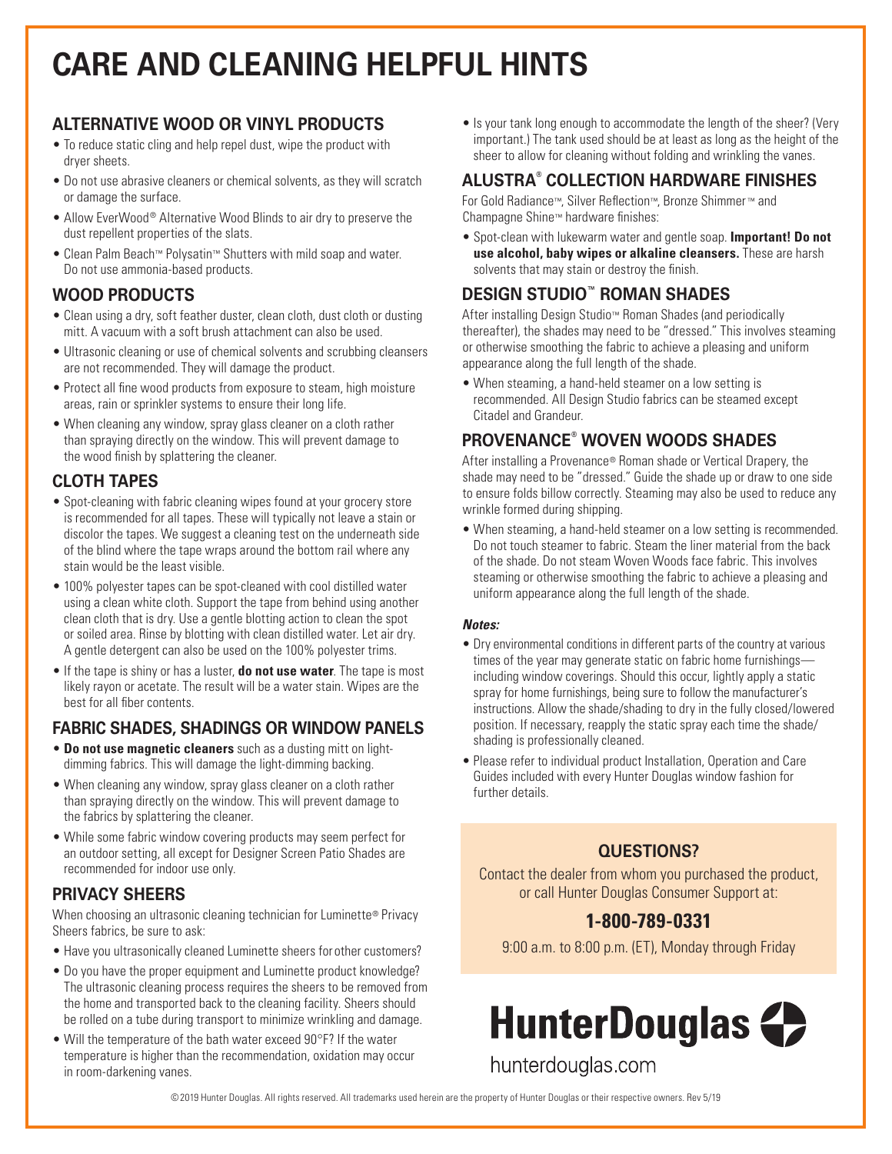# **CARE AND CLEANING HELPFUL HINTS**

### **ALTERNATIVE WOOD OR VINYL PRODUCTS**

- To reduce static cling and help repel dust, wipe the product with dryer sheets.
- Do not use abrasive cleaners or chemical solvents, as they will scratch or damage the surface.
- Allow EverWood® Alternative Wood Blinds to air dry to preserve the dust repellent properties of the slats.
- Clean Palm Beach™ Polysatin™ Shutters with mild soap and water. Do not use ammonia-based products.

#### **WOOD PRODUCTS**

- Clean using a dry, soft feather duster, clean cloth, dust cloth or dusting mitt. A vacuum with a soft brush attachment can also be used.
- Ultrasonic cleaning or use of chemical solvents and scrubbing cleansers are not recommended. They will damage the product.
- Protect all fine wood products from exposure to steam, high moisture areas, rain or sprinkler systems to ensure their long life.
- When cleaning any window, spray glass cleaner on a cloth rather than spraying directly on the window. This will prevent damage to the wood finish by splattering the cleaner.

### **CLOTH TAPES**

- Spot-cleaning with fabric cleaning wipes found at your grocery store is recommended for all tapes. These will typically not leave a stain or discolor the tapes. We suggest a cleaning test on the underneath side of the blind where the tape wraps around the bottom rail where any stain would be the least visible.
- 100% polyester tapes can be spot-cleaned with cool distilled water using a clean white cloth. Support the tape from behind using another clean cloth that is dry. Use a gentle blotting action to clean the spot or soiled area. Rinse by blotting with clean distilled water. Let air dry. A gentle detergent can also be used on the 100% polyester trims.
- If the tape is shiny or has a luster, **do not use water**. The tape is most likely rayon or acetate. The result will be a water stain. Wipes are the best for all fiber contents.

### **FABRIC SHADES, SHADINGS OR WINDOW PANELS**

- **Do not use magnetic cleaners** such as a dusting mitt on lightdimming fabrics. This will damage the light-dimming backing.
- When cleaning any window, spray glass cleaner on a cloth rather than spraying directly on the window. This will prevent damage to the fabrics by splattering the cleaner.
- While some fabric window covering products may seem perfect for an outdoor setting, all except for Designer Screen Patio Shades are recommended for indoor use only.

#### **PRIVACY SHEERS**

When choosing an ultrasonic cleaning technician for Luminette® Privacy Sheers fabrics, be sure to ask:

- Have you ultrasonically cleaned Luminette sheers for other customers?
- Do you have the proper equipment and Luminette product knowledge? The ultrasonic cleaning process requires the sheers to be removed from the home and transported back to the cleaning facility. Sheers should be rolled on a tube during transport to minimize wrinkling and damage.
- Will the temperature of the bath water exceed 90°F? If the water temperature is higher than the recommendation, oxidation may occur in room-darkening vanes.

• Is your tank long enough to accommodate the length of the sheer? (Very important.) The tank used should be at least as long as the height of the sheer to allow for cleaning without folding and wrinkling the vanes.

## **ALUSTRA® COLLECTION HARDWARE FINISHES**

For Gold Radiance™, Silver Reflection™, Bronze Shimmer ™ and Champagne Shine™ hardware finishes:

• Spot-clean with lukewarm water and gentle soap. **Important! Do not use alcohol, baby wipes or alkaline cleansers.** These are harsh solvents that may stain or destroy the finish.

### **DESIGN STUDIO™ ROMAN SHADES**

After installing Design Studio™ Roman Shades (and periodically thereafter), the shades may need to be "dressed." This involves steaming or otherwise smoothing the fabric to achieve a pleasing and uniform appearance along the full length of the shade.

• When steaming, a hand-held steamer on a low setting is recommended. All Design Studio fabrics can be steamed except Citadel and Grandeur.

## **PROVENANCE® WOVEN WOODS SHADES**

After installing a Provenance® Roman shade or Vertical Drapery, the shade may need to be "dressed." Guide the shade up or draw to one side to ensure folds billow correctly. Steaming may also be used to reduce any wrinkle formed during shipping.

• When steaming, a hand-held steamer on a low setting is recommended. Do not touch steamer to fabric. Steam the liner material from the back of the shade. Do not steam Woven Woods face fabric. This involves steaming or otherwise smoothing the fabric to achieve a pleasing and uniform appearance along the full length of the shade.

#### *Notes:*

- Dry environmental conditions in different parts of the country at various times of the year may generate static on fabric home furnishings including window coverings. Should this occur, lightly apply a static spray for home furnishings, being sure to follow the manufacturer's instructions. Allow the shade/shading to dry in the fully closed/lowered position. If necessary, reapply the static spray each time the shade/ shading is professionally cleaned.
- Please refer to individual product Installation, Operation and Care Guides included with every Hunter Douglas window fashion for further details.

### **QUESTIONS?**

Contact the dealer from whom you purchased the product, or call Hunter Douglas Consumer Support at:

## **1-800-789-0331**

9:00 a.m. to 8:00 p.m. (ET), Monday through Friday



©2019 Hunter Douglas. All rights reserved. All trademarks used herein are the property of Hunter Douglas or their respective owners. Rev 5/19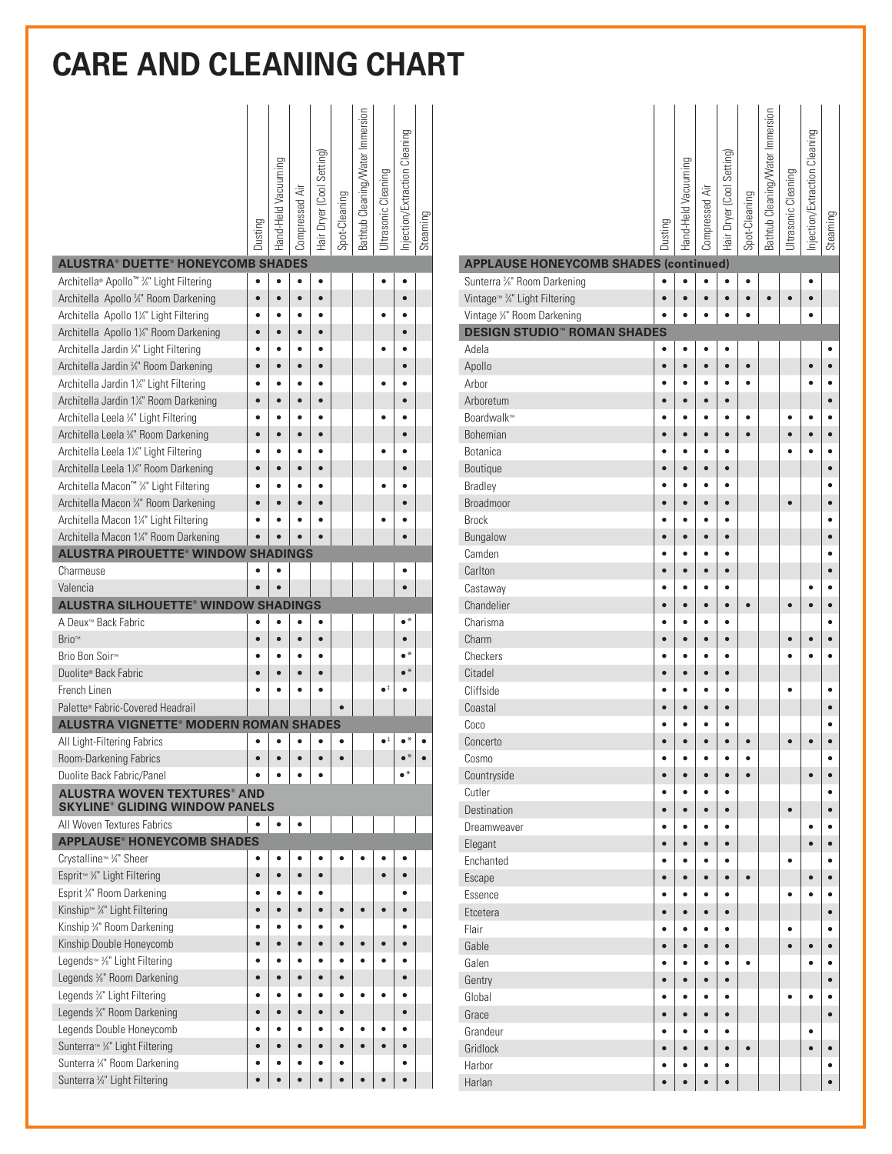|                                                                                                  | Dusting        | Hand-Held Vacuuming | Compressed Air         | Hair Dryer (Cool Setting) | Spot-Cleaning | Bathtub Cleaning/Water Immersion | Ultrasonic Cleaning  | Injection/Extraction Cleaning | Steaming |
|--------------------------------------------------------------------------------------------------|----------------|---------------------|------------------------|---------------------------|---------------|----------------------------------|----------------------|-------------------------------|----------|
| <b>ALUSTRA® DUETTE® HONEYCOMB SHADES</b>                                                         |                |                     |                        |                           |               |                                  |                      |                               |          |
| Architella® Apollo™ 34" Light Filtering                                                          |                | $\bullet$           | $\bullet$              | ٠                         |               |                                  |                      |                               |          |
| Architella Apollo 3/4" Room Darkening                                                            | $\bullet$      | $\bullet$           | $\bullet$              | $\bullet$                 |               |                                  |                      | $\bullet$                     |          |
| Architella Apollo 1%" Light Filtering                                                            |                |                     | $\bullet$              | $\bullet$                 |               |                                  |                      |                               |          |
| Architella Apollo 11/4" Room Darkening                                                           | $\bullet$      | $\bullet$           | $\bullet$              | $\bullet$                 |               |                                  |                      | $\bullet$<br>٠                |          |
| Architella Jardin 3/4" Light Filtering                                                           | ė              | ٠                   | $\bullet$              | $\bullet$                 |               |                                  |                      |                               |          |
| Architella Jardin 34" Room Darkening                                                             | $\bullet$      | $\bullet$<br>٠      | $\bullet$<br>$\bullet$ | $\bullet$<br>$\bullet$    |               |                                  |                      | $\bullet$<br>٠                |          |
| Architella Jardin 1¼" Light Filtering                                                            | ō<br>ō         | $\bullet$           | $\bullet$              | $\bullet$                 |               |                                  |                      | $\bullet$                     |          |
| Architella Jardin 1¼" Room Darkening                                                             |                |                     |                        |                           |               |                                  |                      |                               |          |
| Architella Leela 34" Light Filtering                                                             |                |                     | $\bullet$              | $\bullet$                 |               |                                  |                      | $\bullet$                     |          |
| Architella Leela 34" Room Darkening<br>Architella Leela 1¼" Light Filtering                      |                |                     |                        |                           |               |                                  |                      |                               |          |
| Architella Leela 1¼" Room Darkening                                                              |                |                     |                        | $\bullet$                 |               |                                  |                      | $\bullet$                     |          |
| Architella Macon™ 3/4" Light Filtering                                                           |                |                     |                        |                           |               |                                  |                      |                               |          |
| Architella Macon 34" Room Darkening                                                              |                |                     |                        |                           |               |                                  |                      |                               |          |
| Architella Macon 1¼" Light Filtering                                                             |                |                     |                        |                           |               |                                  |                      |                               |          |
| Architella Macon 1¼" Room Darkening                                                              |                |                     |                        |                           |               |                                  |                      |                               |          |
| <b>ALUSTRA PIROUETTE® WINDOW SHADINGS</b>                                                        |                |                     |                        |                           |               |                                  |                      |                               |          |
| Charmeuse                                                                                        |                |                     |                        |                           |               |                                  |                      |                               |          |
| Valencia                                                                                         |                |                     |                        |                           |               |                                  |                      |                               |          |
| <b>ALUSTRA SILHOUETTE® WINDOW SHADINGS</b>                                                       |                |                     |                        |                           |               |                                  |                      |                               |          |
| A Deux <sup>™</sup> Back Fabric                                                                  |                |                     |                        |                           |               |                                  |                      | $\bullet^*$                   |          |
| Brio™                                                                                            |                | $\bullet$           | $\bullet$              | $\bullet$                 |               |                                  |                      | $\bullet$                     |          |
| Brio Bon Soir™                                                                                   |                |                     |                        | $\bullet$                 |               |                                  |                      | $\bullet^*$                   |          |
| Duolite® Back Fabric                                                                             |                |                     | $\bullet$              | $\bullet$                 |               |                                  |                      | $\bullet^*$                   |          |
| French Linen                                                                                     |                |                     |                        |                           |               |                                  | $\bullet^\ddag$      |                               |          |
| Palette® Fabric-Covered Headrail                                                                 |                |                     |                        |                           |               |                                  |                      |                               |          |
| <b>ALUSTRA VIGNETTE® MODERN ROMAN SHADES</b>                                                     |                |                     |                        |                           |               |                                  |                      |                               |          |
| All Light-Filtering Fabrics                                                                      |                | $\bullet$           | $\bullet$              |                           |               |                                  | $\bullet^{\ddagger}$ |                               |          |
| Room-Darkening Fabrics                                                                           |                |                     |                        |                           |               |                                  |                      | $\cdot$ *                     |          |
| Duolite Back Fabric/Panel                                                                        |                |                     |                        |                           |               |                                  |                      |                               |          |
| <b>ALUSTRA WOVEN TEXTURES® AND</b>                                                               |                |                     |                        |                           |               |                                  |                      |                               |          |
| <b>SKYLINE® GLIDING WINDOW PANELS</b>                                                            |                |                     |                        |                           |               |                                  |                      |                               |          |
| All Woven Textures Fabrics                                                                       |                | $\bullet$           | ۰                      |                           |               |                                  |                      |                               |          |
| <b>APPLAUSE® HONEYCOMB SHADES</b>                                                                |                |                     |                        |                           |               |                                  |                      |                               |          |
| Crystalline <sup>™</sup> 3 <sup>4</sup> ″ Sheer                                                  |                |                     |                        |                           |               |                                  |                      |                               |          |
| Esprit <sup>™</sup> <sup>3</sup> /4" Light Filtering                                             | $\bullet$      | $\bullet$           | $\bullet$              | $\bullet$                 |               |                                  |                      | $\bullet$<br>$\bullet$        |          |
| Esprit 3/4" Room Darkening<br>Kinship <sup>™</sup> <sup>3</sup> / <sub>4</sub> " Light Filtering | ٠<br>$\bullet$ | $\bullet$           | $\bullet$              | $\bullet$                 | $\bullet$     | $\bullet$                        | $\bullet$            | $\bullet$                     |          |
| Kinship 34" Room Darkening                                                                       | $\bullet$      | $\bullet$           | $\bullet$              | $\bullet$                 |               |                                  |                      | $\bullet$                     |          |
| Kinship Double Honeycomb                                                                         | $\bullet$      | $\bullet$           | $\bullet$              | $\bullet$                 | $\bullet$     |                                  | $\bullet$            | $\bullet$                     |          |
| Legends <sup>™</sup> <sup>3</sup> %" Light Filtering                                             | $\bullet$      | $\bullet$           | $\bullet$              | $\bullet$                 |               |                                  |                      | $\bullet$                     |          |
| Legends %" Room Darkening                                                                        | $\bullet$      | $\bullet$           | $\bullet$              | $\bullet$                 | $\bullet$     |                                  |                      | $\bullet$                     |          |
| Legends 3/4" Light Filtering                                                                     | $\bullet$      | $\bullet$           | $\bullet$              | ٠                         |               |                                  | $\bullet$            | $\bullet$                     |          |
| Legends 3/4" Room Darkening                                                                      | ō              | $\bullet$           | $\bullet$              |                           |               |                                  |                      | $\bullet$                     |          |
| Legends Double Honeycomb                                                                         |                | ٠                   | ٠                      |                           |               |                                  |                      | $\bullet$                     |          |
| Sunterra <sup>™</sup> <sup>3</sup> /4" Light Filtering                                           | ¢              | $\bullet$           | $\bullet$              |                           |               |                                  |                      | $\bullet$                     |          |
| Sunterra 3/4" Room Darkening                                                                     |                |                     |                        |                           |               |                                  |                      |                               |          |
| Sunterra %" Light Filtering                                                                      | ė              |                     |                        |                           |               |                                  |                      | $\bullet$                     |          |

|                                                                  | Dusting                | Hand-Held Vacuuming    | Compressed Air         | Hair Dryer (Cool Setting) | Spot-Cleaning | Bathtub Cleaning/Water Immersion | Ultrasonic Cleaning | Injection/Extraction Cleaning | Steaming               |
|------------------------------------------------------------------|------------------------|------------------------|------------------------|---------------------------|---------------|----------------------------------|---------------------|-------------------------------|------------------------|
| <b>APPLAUSE HONEYCOMB SHADES (continued)</b>                     |                        |                        |                        |                           |               |                                  |                     |                               |                        |
| Sunterra <sup>3/8</sup> " Room Darkening                         |                        |                        | $\bullet$              |                           | $\bullet$     |                                  |                     | ٠                             |                        |
| Vintage <sup>™</sup> <sup>3</sup> /4 <sup></sup> Light Filtering | $\bullet$              | $\bullet$              | $\bullet$              | $\bullet$                 | $\bullet$     | $\bullet$                        | $\bullet$           | $\bullet$                     |                        |
| Vintage 3/4" Room Darkening                                      |                        | $\bullet$              | $\bullet$              | $\bullet$                 | $\bullet$     |                                  |                     | $\bullet$                     |                        |
| <b>DESIGN STUDIO<sup>®</sup> ROMAN SHADES</b>                    |                        |                        |                        |                           |               |                                  |                     |                               |                        |
| Adela                                                            |                        | ٠                      | ٠                      | ٠                         |               |                                  |                     |                               | ٠                      |
| Apollo                                                           | $\bullet$              | $\bullet$              | $\bullet$              | $\bullet$                 | $\bullet$     |                                  |                     | $\bullet$                     | $\bullet$              |
| Arbor                                                            | ٠                      | $\bullet$              | $\bullet$              | ٠                         | ٠             |                                  |                     | ٠                             | ٠                      |
| Arboretum<br>Boardwalk™                                          | $\bullet$<br>٠         | $\bullet$<br>٠         | $\bullet$<br>$\bullet$ | $\bullet$<br>٠            | $\bullet$     |                                  | $\bullet$           | $\bullet$                     | $\bullet$<br>$\bullet$ |
| <b>Bohemian</b>                                                  | $\bullet$              | $\bullet$              | $\bullet$              | $\bullet$                 | $\bullet$     |                                  | $\bullet$           | $\bullet$                     | $\bullet$              |
| Botanica                                                         | ٠                      | $\bullet$              | ٠                      | $\bullet$                 |               |                                  |                     | ė                             | ٠                      |
| Boutique                                                         | $\bullet$              | $\bullet$              | $\bullet$              | $\bullet$                 |               |                                  |                     |                               | $\bullet$              |
| <b>Bradley</b>                                                   | ٠                      | ٠                      | $\bullet$              |                           |               |                                  |                     |                               | ٠                      |
| Broadmoor                                                        | ò                      | $\bullet$              | $\bullet$              | $\bullet$                 |               |                                  | $\bullet$           |                               | $\bullet$              |
| <b>Brock</b>                                                     | ė                      | ٠                      | ٠                      | $\bullet$                 |               |                                  |                     |                               | ٠                      |
| Bungalow                                                         | $\bullet$              | $\bullet$              | $\bullet$              | $\bullet$                 |               |                                  |                     |                               | $\bullet$              |
| Camden                                                           | ٠                      | ٠                      | ٠                      | ٠                         |               |                                  |                     |                               | ٠                      |
| Carlton                                                          | ė                      | $\bullet$              | $\bullet$              | $\bullet$                 |               |                                  |                     |                               | $\bullet$              |
| Castaway                                                         | ٠                      | ò                      | $\bullet$              |                           |               |                                  |                     |                               |                        |
| Chandelier                                                       | $\bullet$              | $\bullet$              | $\bullet$              | $\bullet$                 | $\bullet$     |                                  | $\bullet$           | $\bullet$                     | $\bullet$              |
| Charisma                                                         | $\bullet$              | $\bullet$              | $\bullet$              | $\bullet$                 |               |                                  |                     |                               | $\bullet$              |
| Charm                                                            | $\bullet$              | $\bullet$              | $\bullet$              | $\bullet$                 |               |                                  | $\bullet$           | $\bullet$                     | $\bullet$              |
| Checkers                                                         | $\bullet$              | $\bullet$              | $\bullet$              | $\bullet$                 |               |                                  |                     |                               | $\bullet$              |
| Citadel                                                          | $\bullet$              | $\bullet$              | $\bullet$              | $\bullet$                 |               |                                  |                     |                               |                        |
| Cliffside                                                        | ٠                      | $\bullet$              | $\bullet$              | $\bullet$                 |               |                                  | $\bullet$           |                               | $\bullet$              |
| Coastal                                                          | $\bullet$              | $\bullet$              | $\bullet$              | $\bullet$                 |               |                                  |                     |                               | $\bullet$              |
| Coco                                                             | ٠                      | ٠                      | $\bullet$              | ٠                         |               |                                  |                     |                               | $\bullet$              |
| Concerto                                                         | $\bullet$              | $\bullet$              | $\bullet$              | $\bullet$                 | $\bullet$     |                                  | $\bullet$           | $\bullet$                     | $\bullet$              |
| Cosmo                                                            | $\bullet$              | $\bullet$              | $\bullet$              | ٠                         | $\bullet$     |                                  |                     |                               | $\bullet$              |
| Countryside                                                      | $\bullet$              | $\bullet$              | $\bullet$              | $\bullet$                 | $\bullet$     |                                  |                     | $\bullet$                     | $\bullet$              |
| Cutler                                                           | $\bullet$              | $\bullet$              | $\bullet$              | $\bullet$                 |               |                                  |                     |                               | $\bullet$              |
| <b>Destination</b>                                               | $\bullet$              | $\bullet$              | $\bullet$              | $\bullet$                 |               |                                  | $\bullet$           |                               | $\bullet$              |
| Dreamweaver                                                      | $\bullet$              | $\bullet$              | $\bullet$              | $\bullet$                 |               |                                  |                     | $\bullet$                     | $\bullet$              |
| Elegant                                                          | $\bullet$              | $\bullet$              | $\bullet$              | $\bullet$                 |               |                                  |                     | $\bullet$                     | $\bullet$              |
| Enchanted                                                        | ٠                      | $\bullet$              | $\bullet$              | $\bullet$                 |               |                                  | $\bullet$           |                               | ٠                      |
| Escape<br>Essence                                                | $\bullet$<br>$\bullet$ | $\bullet$<br>$\bullet$ | $\bullet$<br>$\bullet$ | $\bullet$<br>$\bullet$    | $\bullet$     |                                  | $\bullet$           | $\bullet$<br>ė                | $\bullet$<br>٠         |
| Etcetera                                                         | $\bullet$              | $\bullet$              | $\bullet$              | $\bullet$                 |               |                                  |                     |                               | $\bullet$              |
| Flair                                                            | $\bullet$              | $\bullet$              | $\bullet$              | $\bullet$                 |               |                                  | $\bullet$           |                               | $\bullet$              |
| Gable                                                            | $\bullet$              | $\bullet$              | $\bullet$              | $\bullet$                 |               |                                  | $\bullet$           | $\bullet$                     | $\bullet$              |
| Galen                                                            | $\bullet$              | $\bullet$              | $\bullet$              | $\bullet$                 | $\bullet$     |                                  |                     | $\bullet$                     | $\bullet$              |
| Gentry                                                           | $\bullet$              | $\bullet$              | $\bullet$              | $\bullet$                 |               |                                  |                     |                               | $\bullet$              |
| Global                                                           | $\bullet$              | $\bullet$              | $\bullet$              | $\bullet$                 |               |                                  | $\bullet$           | $\bullet$                     | $\bullet$              |
| Grace                                                            | $\bullet$              | $\bullet$              | $\bullet$              | $\bullet$                 |               |                                  |                     |                               | $\bullet$              |
| Grandeur                                                         | $\bullet$              | $\bullet$              | $\bullet$              | $\bullet$                 |               |                                  |                     | $\bullet$                     |                        |
| Gridlock                                                         | $\bullet$              | $\bullet$              | $\bullet$              | $\bullet$                 | $\bullet$     |                                  |                     | $\bullet$                     | $\bullet$              |
| Harbor                                                           | $\bullet$              | $\bullet$              | $\bullet$              | $\bullet$                 |               |                                  |                     |                               | ٠                      |
| Harlan                                                           | $\bullet$              | $\bullet$              | $\bullet$              | $\bullet$                 |               |                                  |                     |                               | $\bullet$              |
|                                                                  |                        |                        |                        |                           |               |                                  |                     |                               |                        |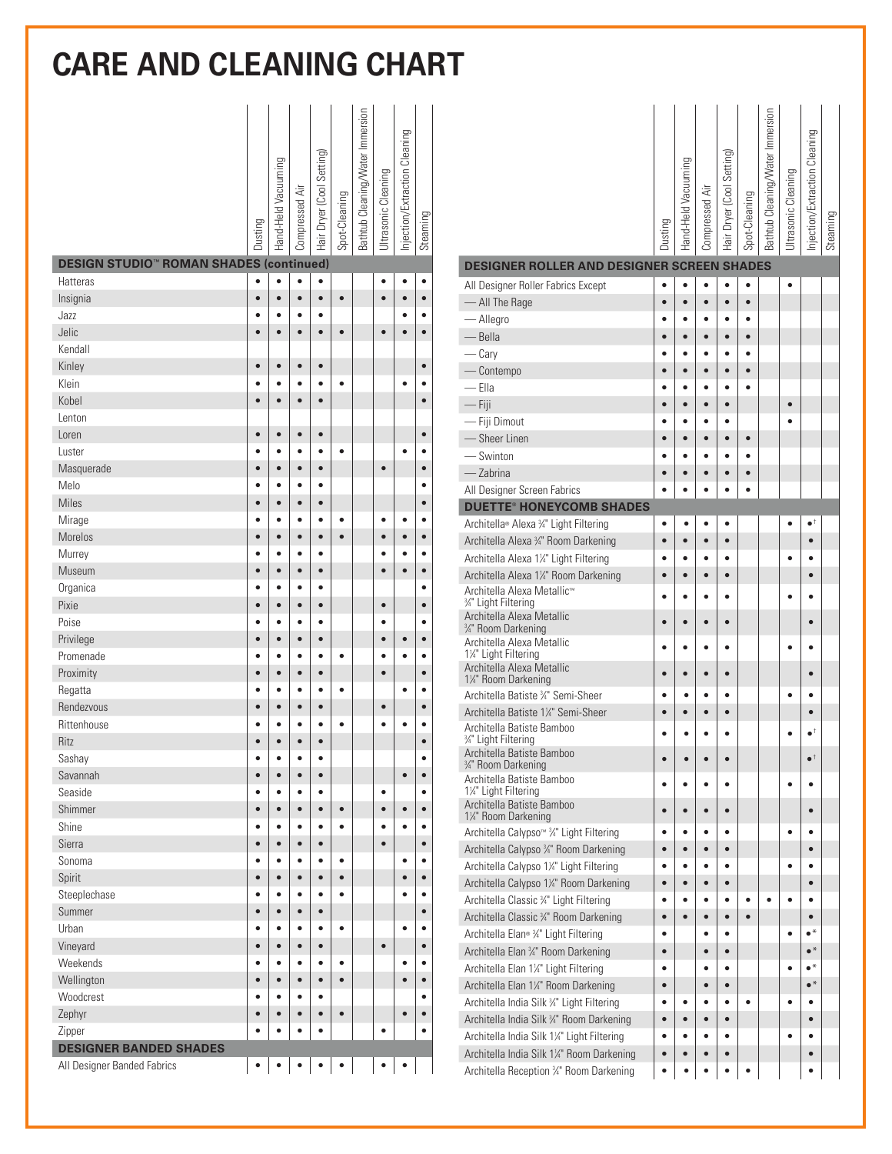| <b>DESIGN STUDIO<sup>®</sup> ROMAN SHADES (continued)</b> | Dusting                | Hand-Held Vacuuming | Compressed Air | Hair Dryer (Cool Setting) | Spot-Cleaning | Bathtub Cleaning/Water Immersion | Ultrasonic Cleaning | Injection/Extraction Cleaning | Steaming               |
|-----------------------------------------------------------|------------------------|---------------------|----------------|---------------------------|---------------|----------------------------------|---------------------|-------------------------------|------------------------|
|                                                           |                        | $\bullet$           | $\bullet$      |                           |               |                                  |                     |                               |                        |
| <b>Hatteras</b>                                           | $\bullet$<br>$\bullet$ | $\bullet$           | $\bullet$      | $\bullet$<br>$\bullet$    | $\bullet$     |                                  | $\bullet$           | $\bullet$                     | $\bullet$<br>$\bullet$ |
| Insignia<br>Jazz                                          | ė                      | é                   | ٠              |                           |               |                                  |                     |                               | ٠                      |
| Jelic                                                     |                        |                     | $\bullet$      | $\bullet$                 | $\bullet$     |                                  | $\bullet$           |                               | $\bullet$              |
| Kendall                                                   |                        |                     |                |                           |               |                                  |                     |                               |                        |
| Kinley                                                    | $\bullet$              | $\bullet$           | $\bullet$      | $\bullet$                 |               |                                  |                     |                               | $\bullet$              |
| Klein                                                     |                        |                     |                |                           | $\bullet$     |                                  |                     | ٠                             |                        |
| Kobel                                                     |                        |                     | ė              | ٠                         |               |                                  |                     |                               | $\bullet$              |
| Lenton                                                    |                        |                     |                |                           |               |                                  |                     |                               |                        |
| Loren                                                     | $\bullet$              | $\bullet$           | $\bullet$      | $\bullet$                 |               |                                  |                     |                               | $\bullet$              |
| Luster                                                    |                        | é                   |                |                           | ٠             |                                  |                     |                               |                        |
| Masquerade                                                | ė                      | $\bullet$           | $\bullet$      | $\bullet$                 |               |                                  | $\bullet$           |                               | $\bullet$              |
| Melo                                                      |                        | ¢                   | ٠              |                           |               |                                  |                     |                               |                        |
| Miles                                                     |                        | $\bullet$           | $\bullet$      | $\bullet$                 |               |                                  |                     |                               | $\bullet$              |
| Mirage                                                    |                        |                     |                |                           | ė             |                                  |                     |                               | $\bullet$              |
| Morelos                                                   | $\bullet$              | $\bullet$           | $\bullet$      | $\bullet$                 | $\bullet$     |                                  | $\bullet$           | $\bullet$                     | $\bullet$              |
| Murrey                                                    |                        |                     |                | ٠                         |               |                                  |                     |                               | $\bullet$              |
| Museum                                                    | $\bullet$              | $\bullet$           | $\bullet$      | $\bullet$                 |               |                                  | $\bullet$           | $\bullet$                     | $\bullet$              |
| Organica                                                  |                        |                     |                | ò                         |               |                                  |                     |                               | $\bullet$              |
| Pixie                                                     | $\bullet$              | $\bullet$           | $\bullet$      | $\bullet$                 |               |                                  | $\bullet$           |                               | $\bullet$              |
| Poise                                                     | ė                      | ٠                   | ٠              | ٠                         |               |                                  |                     |                               | $\bullet$              |
| Privilege                                                 | $\bullet$              | $\bullet$           | $\bullet$      | $\bullet$                 |               |                                  | ă                   | $\bullet$                     | $\bullet$              |
| Promenade                                                 | ė                      | ċ                   | ė              | ٠                         | ٠             |                                  |                     |                               | $\bullet$              |
| Proximity                                                 |                        | $\bullet$           | $\bullet$      | $\bullet$                 |               |                                  |                     |                               | $\bullet$              |
| Regatta                                                   |                        |                     |                |                           | $\bullet$     |                                  |                     |                               | $\bullet$              |
| Rendezvous                                                | ė                      | ò                   | $\bullet$      | ò                         |               |                                  | $\bullet$           |                               | $\bullet$              |
| Rittenhouse                                               |                        |                     |                |                           | $\bullet$     |                                  |                     |                               |                        |
| <b>Ritz</b>                                               |                        |                     |                |                           |               |                                  |                     |                               | $\bullet$              |
| Sashay                                                    |                        |                     |                |                           |               |                                  |                     |                               |                        |
| Savannah                                                  | $\bullet$              | $\bullet$           | $\bullet$      | $\bullet$                 |               |                                  |                     | $\bullet$                     |                        |
| Seaside                                                   | ٠                      | ٠                   | $\bullet$      | ٠                         |               |                                  | $\bullet$           |                               |                        |
| Shimmer                                                   | $\bullet$              | $\bullet$           | $\bullet$      | $\bullet$                 | $\bullet$     |                                  | $\bullet$           | $\bullet$                     | $\bullet$              |
| Shine                                                     | ė                      | $\bullet$           | $\bullet$      | $\bullet$                 | $\bullet$     |                                  |                     | ٠                             | $\bullet$              |
| Sierra                                                    | $\bullet$              | $\bullet$           | $\bullet$      | $\bullet$                 |               |                                  |                     |                               | $\bullet$              |
| Sonoma                                                    |                        | ٠                   | $\bullet$      | $\bullet$                 | $\bullet$     |                                  |                     | $\bullet$                     | $\bullet$              |
| Spirit                                                    | $\bullet$              | $\bullet$           | $\bullet$      | $\bullet$                 | $\bullet$     |                                  |                     | $\bullet$                     | $\bullet$              |
| Steeplechase                                              | ٠                      | ٠                   | $\bullet$      | $\bullet$                 | $\bullet$     |                                  |                     |                               | $\bullet$              |
| Summer                                                    | $\bullet$              | $\bullet$           | $\bullet$      | $\bullet$                 |               |                                  |                     |                               | $\bullet$              |
| Urban                                                     | é                      | $\bullet$           | $\bullet$      | $\bullet$                 | $\bullet$     |                                  |                     |                               | $\bullet$              |
| Vineyard                                                  | $\bullet$              | $\bullet$           | $\bullet$      | $\bullet$                 |               |                                  | $\bullet$           |                               | $\bullet$              |
| Weekends                                                  | $\bullet$              | $\bullet$           | $\bullet$      | $\bullet$                 | $\bullet$     |                                  |                     | $\bullet$                     | $\bullet$              |
| Wellington                                                | $\bullet$              | $\bullet$           | $\bullet$      | $\bullet$                 | $\bullet$     |                                  |                     | $\bullet$                     | $\bullet$              |
| Woodcrest                                                 | $\bullet$              | $\bullet$           | $\bullet$      | $\bullet$                 |               |                                  |                     |                               | $\bullet$              |
| Zephyr                                                    |                        | $\bullet$           | $\bullet$      | $\bullet$                 | $\bullet$     |                                  |                     |                               | $\bullet$              |
| Zipper                                                    | $\bullet$              |                     | $\bullet$      | $\bullet$                 |               |                                  |                     |                               | ٠                      |
| <b>DESIGNER BANDED SHADES</b>                             |                        |                     |                |                           |               |                                  |                     |                               |                        |
| All Designer Banded Fabrics                               | $\bullet$              |                     | ٠              | $\bullet$                 | $\bullet$     |                                  | $\bullet$           | $\bullet$                     |                        |

|                                                                           | Dusting        | Hand-Held Vacuuming | Ë<br>Compressed        | Hair Dryer (Cool Setting | Spot-Cleaning | Bathtub Cleaning/Water Immersion | JItrasonic Cleaning | Injection/Extraction Cleaning | Steaming |  |
|---------------------------------------------------------------------------|----------------|---------------------|------------------------|--------------------------|---------------|----------------------------------|---------------------|-------------------------------|----------|--|
| DESIGNER ROLLER AND DESIGNER SCREEN SHADES                                |                |                     |                        |                          |               |                                  |                     |                               |          |  |
| All Designer Roller Fabrics Except                                        |                |                     |                        |                          |               |                                  |                     |                               |          |  |
| - All The Rage                                                            | ė              | ò                   | ė                      |                          | $\bullet$     |                                  |                     |                               |          |  |
| — Allegro                                                                 |                | ٠                   | ٠                      | ٠                        | $\bullet$     |                                  |                     |                               |          |  |
| — Bella                                                                   |                |                     | ٠                      |                          |               |                                  |                     |                               |          |  |
| — Cary                                                                    |                |                     |                        |                          |               |                                  |                     |                               |          |  |
| - Contempo                                                                |                |                     |                        |                          |               |                                  |                     |                               |          |  |
| — Ella                                                                    |                |                     |                        |                          |               |                                  |                     |                               |          |  |
| $-$ Fiji                                                                  |                |                     |                        |                          |               |                                  |                     |                               |          |  |
| - Fiji Dimout<br>- Sheer Linen                                            |                |                     |                        |                          |               |                                  |                     |                               |          |  |
| Swinton                                                                   |                |                     |                        |                          |               |                                  |                     |                               |          |  |
| - Zabrina                                                                 |                |                     |                        |                          |               |                                  |                     |                               |          |  |
| All Designer Screen Fabrics                                               |                |                     |                        |                          |               |                                  |                     |                               |          |  |
| <b>DUETTE<sup>®</sup> HONEYCOMB SHADES</b>                                |                |                     |                        |                          |               |                                  |                     |                               |          |  |
| Architella® Alexa ¾" Light Filtering                                      |                | ٠                   |                        | ٠                        |               |                                  |                     | $\bullet^+$                   |          |  |
| Architella Alexa 3/4" Room Darkening                                      |                | ò                   | $\bullet$              | $\bullet$                |               |                                  |                     |                               |          |  |
| Architella Alexa 1¼" Light Filtering                                      |                |                     |                        | ٠                        |               |                                  |                     |                               |          |  |
| Architella Alexa 1¼" Room Darkening                                       |                | ò                   | $\bullet$              | $\bullet$                |               |                                  |                     | $\bullet$                     |          |  |
| Architella Alexa Metallic™<br>34" Light Filtering                         |                |                     |                        |                          |               |                                  |                     |                               |          |  |
| Architella Alexa Metallic<br>3/4" Room Darkening                          |                |                     |                        |                          |               |                                  |                     |                               |          |  |
| Architella Alexa Metallic<br>1¼" Light Filtering                          |                |                     |                        |                          |               |                                  |                     |                               |          |  |
| Architella Alexa Metallic<br>1¼" Room Darkening                           |                |                     |                        |                          |               |                                  |                     |                               |          |  |
| Architella Batiste ¾" Semi-Sheer                                          |                |                     |                        |                          |               |                                  |                     |                               |          |  |
| Architella Batiste 1¼" Semi-Sheer                                         |                |                     |                        |                          |               |                                  |                     |                               |          |  |
| Architella Batiste Bamboo<br>3/4" Light Filtering                         |                |                     |                        |                          |               |                                  |                     |                               |          |  |
| Architella Batiste Bamboo<br>3⁄4" Room Darkening                          |                |                     |                        |                          |               |                                  |                     | $\bullet^+$                   |          |  |
| Architella Batiste Bamboo<br>1¼" Light Filtering                          |                |                     | ٠                      | ٠                        |               |                                  | ٠                   | ٠                             |          |  |
| Architella Batiste Bamboo<br>1¼" Room Darkening                           |                |                     |                        |                          |               |                                  |                     |                               |          |  |
| Architella Calypso <sup>™ 3</sup> /4" Light Filtering                     |                |                     |                        |                          |               |                                  | ۰                   |                               |          |  |
| Architella Calypso 3/4" Room Darkening                                    |                |                     |                        |                          |               |                                  |                     | $\bullet$                     |          |  |
| Architella Calypso 1¼" Light Filtering                                    |                | ٠<br>ä              | ٠                      | ٠                        |               |                                  | ٠                   | $\bullet$                     |          |  |
| Architella Calypso 1¼" Room Darkening                                     |                |                     | $\bullet$<br>$\bullet$ | $\bullet$<br>$\bullet$   |               |                                  |                     | $\bullet$                     |          |  |
| Architella Classic 3/4" Light Filtering                                   |                |                     |                        |                          |               |                                  | ٠                   | $\bullet$                     |          |  |
| Architella Classic 34" Room Darkening                                     |                |                     | $\bullet$              | $\bullet$                |               |                                  |                     | $\bullet$<br>$\bullet^*$      |          |  |
| Architella Elan® ¾" Light Filtering                                       | $\bullet$      |                     | $\bullet$              | $\bullet$<br>$\bullet$   |               |                                  |                     | $\bullet^*$                   |          |  |
| Architella Elan 3/4" Room Darkening                                       |                |                     | ٠                      | $\bullet$                |               |                                  |                     | $\bullet^*$                   |          |  |
| Architella Elan 1¼" Light Filtering<br>Architella Elan 1¼" Room Darkening | ٠<br>$\bullet$ |                     | ė                      | $\bullet$                |               |                                  |                     | $\bullet^*$                   |          |  |
| Architella India Silk 34" Light Filtering                                 |                |                     | $\bullet$              | $\bullet$                |               |                                  | ٠                   | $\bullet$                     |          |  |
| Architella India Silk 3/4" Room Darkening                                 |                | ò                   | ė                      | $\bullet$                |               |                                  |                     | $\bullet$                     |          |  |
| Architella India Silk 1¼" Light Filtering                                 |                |                     |                        | ٠                        |               |                                  | ٠                   | ٠                             |          |  |
| Architella India Silk 1¼" Room Darkening                                  |                |                     | ė                      |                          |               |                                  |                     | $\bullet$                     |          |  |
| Architella Reception 34" Room Darkening                                   |                |                     |                        |                          |               |                                  |                     |                               |          |  |
|                                                                           |                |                     |                        |                          |               |                                  |                     |                               |          |  |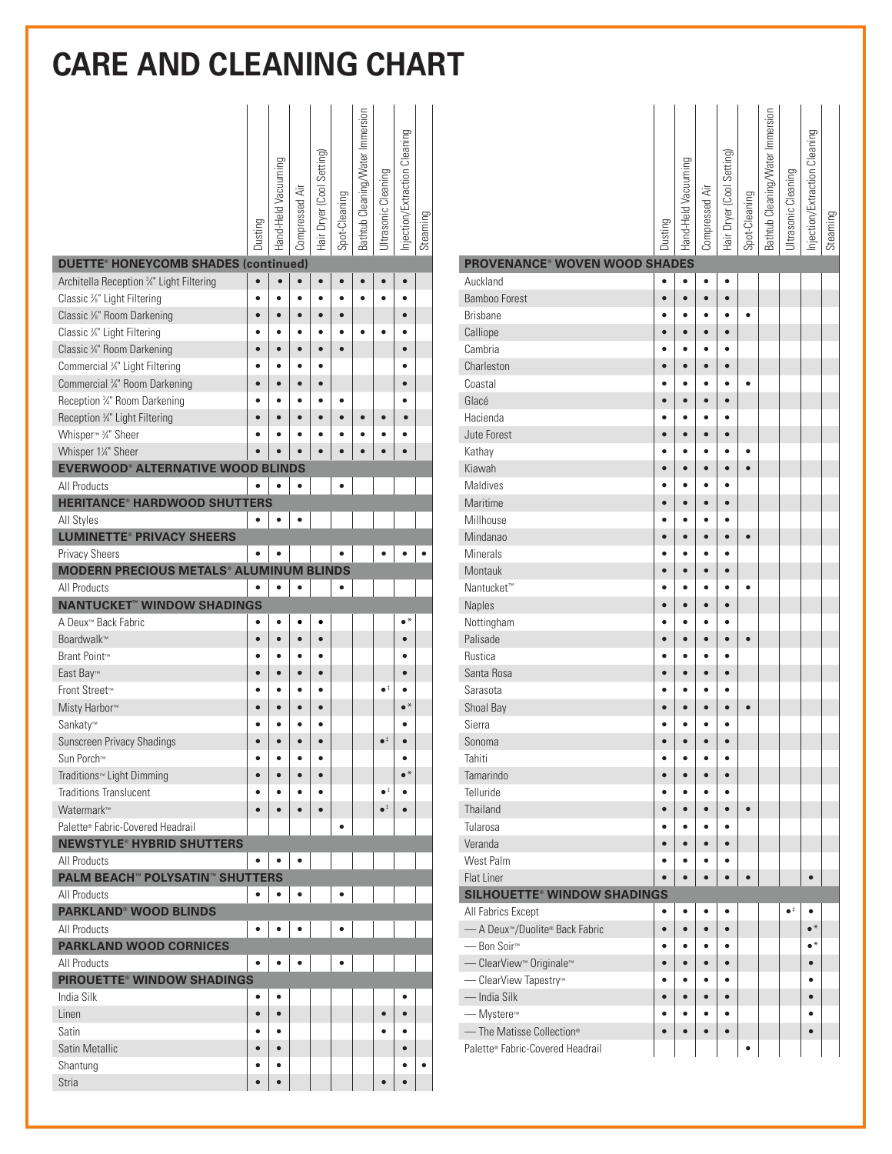|                                                                                 | Dusting   | Hand-Held Vacuuming | Compressed Air | Hair Dryer (Cool Setting) | Spot-Cleaning | Bathtub Cleaning/Water Immersion | Ultrasonic Cleaning  | Injection/Extraction Cleaning | Steaming |
|---------------------------------------------------------------------------------|-----------|---------------------|----------------|---------------------------|---------------|----------------------------------|----------------------|-------------------------------|----------|
| <b>DUETTE® HONEYCOMB SHADES (continued)</b>                                     |           |                     |                |                           |               |                                  |                      |                               |          |
| Architella Reception 3/4" Light Filtering                                       | $\bullet$ |                     |                | $\bullet$                 |               |                                  |                      |                               |          |
| Classic %" Light Filtering                                                      |           |                     | ٠              |                           |               |                                  |                      |                               |          |
| Classic 3/8" Room Darkening                                                     |           |                     | $\bullet$      |                           |               |                                  |                      |                               |          |
| Classic 3/4" Light Filtering                                                    |           |                     |                |                           |               | $\bullet$                        |                      |                               |          |
| Classic 34" Room Darkening                                                      | $\bullet$ | $\bullet$           | $\bullet$      | $\bullet$                 | $\bullet$     |                                  |                      | $\bullet$                     |          |
| Commercial 34" Light Filtering                                                  |           |                     | ٠              | ٠                         |               |                                  |                      | ٠                             |          |
| Commercial 3/4" Room Darkening                                                  | $\bullet$ | $\bullet$           | $\bullet$      | $\bullet$                 |               |                                  |                      | $\bullet$                     |          |
| Reception 3/4" Room Darkening                                                   |           |                     |                |                           | ė             |                                  |                      |                               |          |
| Reception 34" Light Filtering                                                   | ė         | ò                   | ė              | $\bullet$                 | $\bullet$     | $\bullet$                        | $\bullet$            | $\bullet$                     |          |
| Whisper <sup>™</sup> 3 <sup>4</sup> Sheer                                       |           |                     |                |                           |               |                                  |                      |                               |          |
| Whisper 11/4" Sheer                                                             |           |                     |                |                           | é             |                                  |                      |                               |          |
| <b>EVERWOOD® ALTERNATIVE WOOD BLINDS</b>                                        |           |                     |                |                           |               |                                  |                      |                               |          |
| All Products                                                                    |           |                     |                |                           |               |                                  |                      |                               |          |
| <b>HERITANCE<sup>®</sup> HARDWOOD SHUTTERS</b>                                  |           |                     |                |                           |               |                                  |                      |                               |          |
| All Styles                                                                      | ٠         |                     |                |                           |               |                                  |                      |                               |          |
| <b>LUMINETTE® PRIVACY SHEERS</b>                                                |           |                     |                |                           |               |                                  |                      |                               |          |
| <b>Privacy Sheers</b>                                                           |           |                     |                |                           |               |                                  |                      |                               |          |
| <b>MODERN PRECIOUS METALS® ALUMINUM</b>                                         |           |                     |                | <b>BLINDS</b>             |               |                                  |                      |                               |          |
| All Products                                                                    |           |                     |                |                           |               |                                  |                      |                               |          |
| <b>NANTUCKET™ WINDOW SHADINGS</b>                                               |           |                     |                |                           |               |                                  |                      |                               |          |
| A Deux™ Back Fabric                                                             | ٠         | $\bullet$           | $\bullet$      | ٠                         |               |                                  |                      | $\bullet^*$                   |          |
| Boardwalk™                                                                      | é         | $\bullet$           | $\bullet$      | $\bullet$                 |               |                                  |                      |                               |          |
| Brant Point™                                                                    |           |                     | $\bullet$      |                           |               |                                  |                      |                               |          |
| East Bay™                                                                       | $\bullet$ | $\bullet$           | $\bullet$      | $\bullet$                 |               |                                  |                      | $\bullet$                     |          |
| Front Street™                                                                   | ٠         | ٠                   | ٠              | $\bullet$                 |               |                                  | $\bullet^{\ddagger}$ |                               |          |
| Misty Harbor <sup>™</sup>                                                       | $\bullet$ | $\bullet$           | $\bullet$      | $\bullet$                 |               |                                  |                      | $\bullet^*$                   |          |
| Sankaty™                                                                        |           |                     | ٠              | ٠                         |               |                                  |                      |                               |          |
| Sunscreen Privacy Shadings                                                      |           |                     | $\bullet$      | $\bullet$                 |               |                                  | $\bullet^{\ddagger}$ |                               |          |
| Sun Porch™                                                                      | ٠         | $\bullet$           | $\bullet$      | $\bullet$                 |               |                                  |                      | ٠<br>$\bullet^*$              |          |
| Traditions™ Light Dimming                                                       | $\bullet$ | $\bullet$           | $\bullet$      | $\bullet$                 |               |                                  | $\bullet^\ddag$      |                               |          |
| <b>Traditions Translucent</b>                                                   | ٠         | ٠                   | $\bullet$      | $\bullet$                 |               |                                  | $\bullet^{\ddagger}$ | ٠<br>$\bullet$                |          |
| Watermark™                                                                      | $\bullet$ | $\bullet$           | $\bullet$      | $\bullet$                 |               |                                  |                      |                               |          |
| Palette® Fabric-Covered Headrail<br><b>NEWSTYLE<sup>®</sup> HYBRID SHUTTERS</b> |           |                     |                |                           |               |                                  |                      |                               |          |
| All Products                                                                    | ٠         | $\bullet$           | ٠              |                           |               |                                  |                      |                               |          |
| <b>PALM BEACH™ POLYSATIN™ SHUTTERS</b>                                          |           |                     |                |                           |               |                                  |                      |                               |          |
| <b>All Products</b>                                                             | $\bullet$ | $\bullet$           | $\bullet$      |                           |               |                                  |                      |                               |          |
| <b>PARKLAND<sup>®</sup> WOOD BLINDS</b>                                         |           |                     |                |                           |               |                                  |                      |                               |          |
| All Products                                                                    |           |                     |                |                           |               |                                  |                      |                               |          |
| <b>PARKLAND WOOD CORNICES</b>                                                   |           |                     |                |                           |               |                                  |                      |                               |          |
| All Products                                                                    | $\bullet$ | $\bullet$           |                |                           |               |                                  |                      |                               |          |
| <b>PIROUETTE® WINDOW SHADINGS</b>                                               |           |                     |                |                           |               |                                  |                      |                               |          |
| India Silk                                                                      | ٠         | $\bullet$           |                |                           |               |                                  |                      |                               |          |
| Linen                                                                           | $\bullet$ | $\bullet$           |                |                           |               |                                  | $\bullet$            | $\bullet$                     |          |
| Satin                                                                           | ٠         | $\bullet$           |                |                           |               |                                  |                      | ٠                             |          |
| <b>Satin Metallic</b>                                                           | $\bullet$ | $\bullet$           |                |                           |               |                                  |                      | $\bullet$                     |          |
| Shantung                                                                        | ٠         | ٠                   |                |                           |               |                                  |                      | ٠                             | ٠        |
| <b>Stria</b>                                                                    | $\bullet$ | $\bullet$           |                |                           |               |                                  | $\bullet$            | $\bullet$                     |          |
|                                                                                 |           |                     |                |                           |               |                                  |                      |                               |          |

| <b>PROVENANCE<sup>®</sup> WOVEN WOOD SHADES</b> | Dusting        | Hand-Held Vacuuming | Compressed Air | Hair Dryer (Cool Setting) | Spot-Cleaning | Bathtub Cleaning/Water Immersion | Ultrasonic Cleaning | Injection/Extraction Cleaning | Steaming |
|-------------------------------------------------|----------------|---------------------|----------------|---------------------------|---------------|----------------------------------|---------------------|-------------------------------|----------|
|                                                 |                |                     |                |                           |               |                                  |                     |                               |          |
| Auckland<br><b>Bamboo Forest</b>                | $\bullet$      | $\bullet$           | ٠              | $\bullet$                 |               |                                  |                     |                               |          |
| <b>Brisbane</b>                                 | $\bullet$<br>٠ | $\bullet$           | $\bullet$      | $\bullet$<br>$\bullet$    | $\bullet$     |                                  |                     |                               |          |
|                                                 | $\bullet$      | $\bullet$           | $\bullet$      | $\bullet$                 |               |                                  |                     |                               |          |
| Calliope<br>Cambria                             | ٠              |                     | $\bullet$      | $\bullet$                 |               |                                  |                     |                               |          |
| Charleston                                      | $\bullet$      | $\bullet$           | $\bullet$      | $\bullet$                 |               |                                  |                     |                               |          |
| Coastal                                         |                | ٠                   | $\bullet$      | $\bullet$                 | $\bullet$     |                                  |                     |                               |          |
| Glacé                                           |                | $\bullet$           | $\bullet$      | $\bullet$                 |               |                                  |                     |                               |          |
| Hacienda                                        |                |                     |                |                           |               |                                  |                     |                               |          |
| Jute Forest                                     | ٠              | $\bullet$           | $\bullet$      | $\bullet$                 |               |                                  |                     |                               |          |
| Kathay                                          |                |                     |                |                           | ٠             |                                  |                     |                               |          |
| Kiawah                                          |                | ٠                   | $\bullet$      | $\bullet$                 | $\bullet$     |                                  |                     |                               |          |
| Maldives                                        |                |                     |                |                           |               |                                  |                     |                               |          |
| Maritime                                        |                |                     | $\bullet$      | $\bullet$                 |               |                                  |                     |                               |          |
| Millhouse                                       |                |                     | ٠              | ٠                         |               |                                  |                     |                               |          |
| Mindanao                                        |                | $\bullet$           | $\bullet$      | $\bullet$                 | $\bullet$     |                                  |                     |                               |          |
| <b>Minerals</b>                                 |                | ٠                   | ٠              | $\bullet$                 |               |                                  |                     |                               |          |
| Montauk                                         |                | $\bullet$           | $\bullet$      | $\bullet$                 |               |                                  |                     |                               |          |
| Nantucket <sup>™</sup>                          |                | ٠                   | $\bullet$      | $\bullet$                 | $\bullet$     |                                  |                     |                               |          |
| Naples                                          | $\bullet$      | $\bullet$           | $\bullet$      | $\bullet$                 |               |                                  |                     |                               |          |
| Nottingham                                      | ٠              | ٠                   | $\bullet$      | $\bullet$                 |               |                                  |                     |                               |          |
| Palisade                                        | $\bullet$      | $\bullet$           | $\bullet$      | $\bullet$                 | $\bullet$     |                                  |                     |                               |          |
| <b>Rustica</b>                                  |                |                     |                | $\bullet$                 |               |                                  |                     |                               |          |
| Santa Rosa                                      | $\bullet$      | $\bullet$           | $\bullet$      | $\bullet$                 |               |                                  |                     |                               |          |
| Sarasota                                        | ٠              |                     | $\bullet$      | $\bullet$                 |               |                                  |                     |                               |          |
| Shoal Bay                                       | $\bullet$      | $\bullet$           | $\bullet$      | $\bullet$                 | $\bullet$     |                                  |                     |                               |          |
| Sierra                                          |                | ٠                   | ō              | $\bullet$                 |               |                                  |                     |                               |          |
| Sonoma                                          |                | $\bullet$           | $\bullet$      | $\bullet$                 |               |                                  |                     |                               |          |
| Tahiti                                          | $\bullet$      | $\bullet$           | $\bullet$      | $\bullet$                 |               |                                  |                     |                               |          |
| Tamarindo                                       | $\bullet$      | $\bullet$           | $\bullet$      | $\bullet$                 |               |                                  |                     |                               |          |
| Telluride                                       | ٠              | ٠                   | $\bullet$      | ٠                         |               |                                  |                     |                               |          |
| Thailand                                        | $\bullet$      | $\bullet$           | $\bullet$      | $\bullet$                 | $\bullet$     |                                  |                     |                               |          |
| Tularosa                                        |                |                     |                |                           |               |                                  |                     |                               |          |
| Veranda                                         | $\bullet$      | $\bullet$           | $\bullet$      | $\bullet$                 |               |                                  |                     |                               |          |
| West Palm                                       | ٠              |                     | $\bullet$      | $\bullet$                 |               |                                  |                     |                               |          |
| Flat Liner                                      | $\bullet$      | $\bullet$           | $\bullet$      | $\bullet$                 | $\bullet$     |                                  |                     | $\bullet$                     |          |
| <b>SILHOUETTE<sup>®</sup> WINDOW SHADINGS</b>   |                |                     |                |                           |               |                                  |                     |                               |          |
| All Fabrics Except                              | $\bullet$      | $\bullet$           | $\bullet$      | $\bullet$                 |               |                                  | $\bullet^\ddag$     | $\bullet$                     |          |
| - A Deux <sup>™</sup> /Duolite® Back Fabric     | $\bullet$      | $\bullet$           | $\bullet$      | $\bullet$                 |               |                                  |                     | $\bullet^*$                   |          |
| — Bon Soir <sup>™</sup>                         | $\bullet$      | $\bullet$           | $\bullet$      | $\bullet$                 |               |                                  |                     | $\bullet^*$                   |          |
| - ClearView <sup>™</sup> Originale™             | $\bullet$      | $\bullet$           | $\bullet$      | $\bullet$                 |               |                                  |                     | $\bullet$                     |          |
| - ClearView Tapestry™                           | $\bullet$      | $\bullet$           | $\bullet$      | $\bullet$                 |               |                                  |                     | $\bullet$                     |          |
| — India Silk                                    | $\bullet$      | $\bullet$           | $\bullet$      | $\bullet$                 |               |                                  |                     | $\bullet$                     |          |
| — Mystere <sup>™</sup>                          | $\bullet$      | $\bullet$           | $\bullet$      | $\bullet$                 |               |                                  |                     | $\bullet$                     |          |
| - The Matisse Collection®                       | $\bullet$      | $\bullet$           | $\bullet$      | $\bullet$                 |               |                                  |                     | $\bullet$                     |          |
| Palette® Fabric-Covered Headrail                |                |                     |                |                           | $\bullet$     |                                  |                     |                               |          |